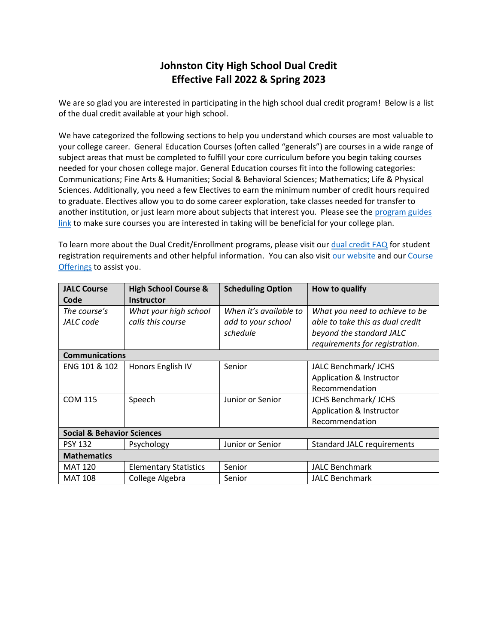## **Johnston City High School Dual Credit Effective Fall 2022 & Spring 2023**

We are so glad you are interested in participating in the high school dual credit program! Below is a list of the dual credit available at your high school.

We have categorized the following sections to help you understand which courses are most valuable to your college career. General Education Courses (often called "generals") are courses in a wide range of subject areas that must be completed to fulfill your core curriculum before you begin taking courses needed for your chosen college major. General Education courses fit into the following categories: Communications; Fine Arts & Humanities; Social & Behavioral Sciences; Mathematics; Life & Physical Sciences. Additionally, you need a few Electives to earn the minimum number of credit hours required to graduate. Electives allow you to do some career exploration, take classes needed for transfer to another institution, or just learn more about subjects that interest you. Please see the [program guides](https://www.jalc.edu/program-guides/)  [link](https://www.jalc.edu/program-guides/) to make sure courses you are interested in taking will be beneficial for your college plan.

To learn more about the Dual Credit/Enrollment programs, please visit our [dual credit FAQ](https://www.jalc.edu/wp-content/uploads/2022/04/dual_credit_faq.pdf) for student registration requirements and other helpful information. You can also visit [our website](https://www.jalc.edu/dual-credit-and-dual-enrollment-for-high-school-students/) and our [Course](https://my.jalc.edu/ICS/Academics/Academics_Homepage.jnz?portlet=PDF_Reports)  [Offerings](https://my.jalc.edu/ICS/Academics/Academics_Homepage.jnz?portlet=PDF_Reports) to assist you.

| <b>JALC Course</b>                    | <b>High School Course &amp;</b> | <b>Scheduling Option</b> | How to qualify                    |  |  |
|---------------------------------------|---------------------------------|--------------------------|-----------------------------------|--|--|
| Code                                  | <b>Instructor</b>               |                          |                                   |  |  |
| The course's                          | What your high school           | When it's available to   | What you need to achieve to be    |  |  |
| JALC code                             | calls this course               | add to your school       | able to take this as dual credit  |  |  |
|                                       |                                 | schedule                 | beyond the standard JALC          |  |  |
|                                       |                                 |                          | requirements for registration.    |  |  |
| <b>Communications</b>                 |                                 |                          |                                   |  |  |
| ENG 101 & 102                         | Honors English IV               | Senior                   | JALC Benchmark/ JCHS              |  |  |
|                                       |                                 |                          | Application & Instructor          |  |  |
|                                       |                                 |                          | Recommendation                    |  |  |
| <b>COM 115</b>                        | Speech                          | Junior or Senior         | <b>JCHS Benchmark/ JCHS</b>       |  |  |
|                                       |                                 |                          | Application & Instructor          |  |  |
|                                       |                                 |                          | Recommendation                    |  |  |
| <b>Social &amp; Behavior Sciences</b> |                                 |                          |                                   |  |  |
| <b>PSY 132</b>                        | Psychology                      | Junior or Senior         | <b>Standard JALC requirements</b> |  |  |
| <b>Mathematics</b>                    |                                 |                          |                                   |  |  |
| <b>MAT 120</b>                        | <b>Elementary Statistics</b>    | Senior                   | <b>JALC Benchmark</b>             |  |  |
| <b>MAT 108</b>                        | College Algebra                 | Senior                   | <b>JALC Benchmark</b>             |  |  |